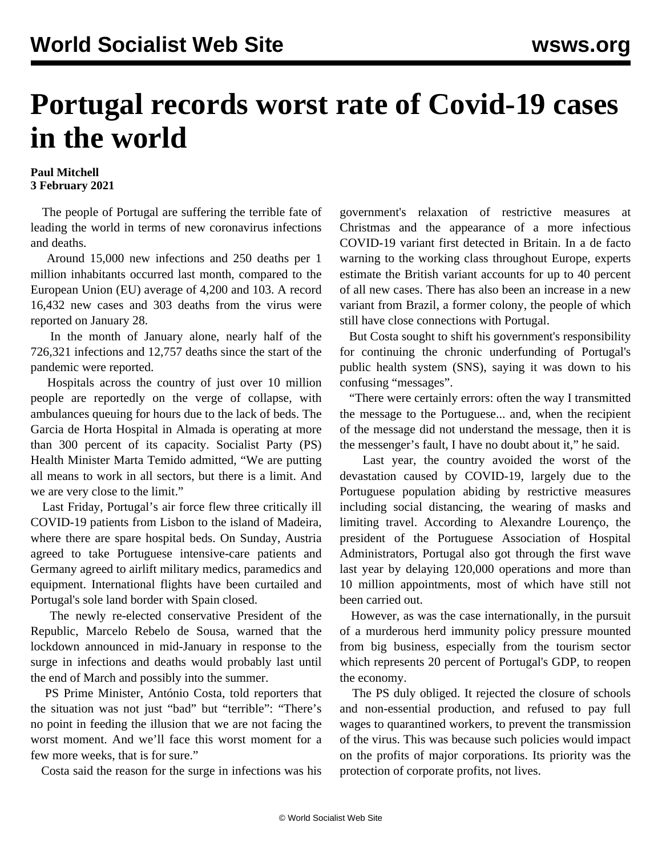## **Portugal records worst rate of Covid-19 cases in the world**

## **Paul Mitchell 3 February 2021**

 The people of Portugal are suffering the terrible fate of leading the world in terms of new coronavirus infections and deaths.

 Around 15,000 new infections and 250 deaths per 1 million inhabitants occurred last month, compared to the European Union (EU) average of 4,200 and 103. A record 16,432 new cases and 303 deaths from the virus were reported on January 28.

 In the month of January alone, nearly half of the 726,321 infections and 12,757 deaths since the start of the pandemic were reported.

 Hospitals across the country of just over 10 million people are reportedly on the verge of collapse, with ambulances queuing for hours due to the lack of beds. The Garcia de Horta Hospital in Almada is operating at more than 300 percent of its capacity. Socialist Party (PS) Health Minister Marta Temido admitted, "We are putting all means to work in all sectors, but there is a limit. And we are very close to the limit."

 Last Friday, Portugal's air force flew three critically ill COVID-19 patients from Lisbon to the island of Madeira, where there are spare hospital beds. On Sunday, Austria agreed to take Portuguese intensive-care patients and Germany agreed to airlift military medics, paramedics and equipment. International flights have been curtailed and Portugal's sole land border with Spain closed.

 The newly re-elected conservative President of the Republic, Marcelo Rebelo de Sousa, warned that the lockdown announced in mid-January in response to the surge in infections and deaths would probably last until the end of March and possibly into the summer.

 PS Prime Minister, António Costa, told reporters that the situation was not just "bad" but "terrible": "There's no point in feeding the illusion that we are not facing the worst moment. And we'll face this worst moment for a few more weeks, that is for sure."

Costa said the reason for the surge in infections was his

government's relaxation of restrictive measures at Christmas and the appearance of a more infectious COVID-19 variant first detected in Britain. In a de facto warning to the working class throughout Europe, experts estimate the British variant accounts for up to 40 percent of all new cases. There has also been an increase in a new variant from Brazil, a former colony, the people of which still have close connections with Portugal.

 But Costa sought to shift his government's responsibility for continuing the chronic underfunding of Portugal's public health system (SNS), saying it was down to his confusing "messages".

 "There were certainly errors: often the way I transmitted the message to the Portuguese... and, when the recipient of the message did not understand the message, then it is the messenger's fault, I have no doubt about it," he said.

 Last year, the country avoided the worst of the devastation caused by COVID-19, largely due to the Portuguese population abiding by restrictive measures including social distancing, the wearing of masks and limiting travel. According to Alexandre Lourenço, the president of the Portuguese Association of Hospital Administrators, Portugal also got through the first wave last year by delaying 120,000 operations and more than 10 million appointments, most of which have still not been carried out.

 However, as was the case internationally, in the pursuit of a murderous herd immunity policy pressure mounted from big business, especially from the tourism sector which represents 20 percent of Portugal's GDP, to reopen the economy.

 The PS duly obliged. It rejected the closure of schools and non-essential production, and refused to pay full wages to quarantined workers, to prevent the transmission of the virus. This was because such policies would impact on the profits of major corporations. Its priority was the protection of corporate profits, not lives.